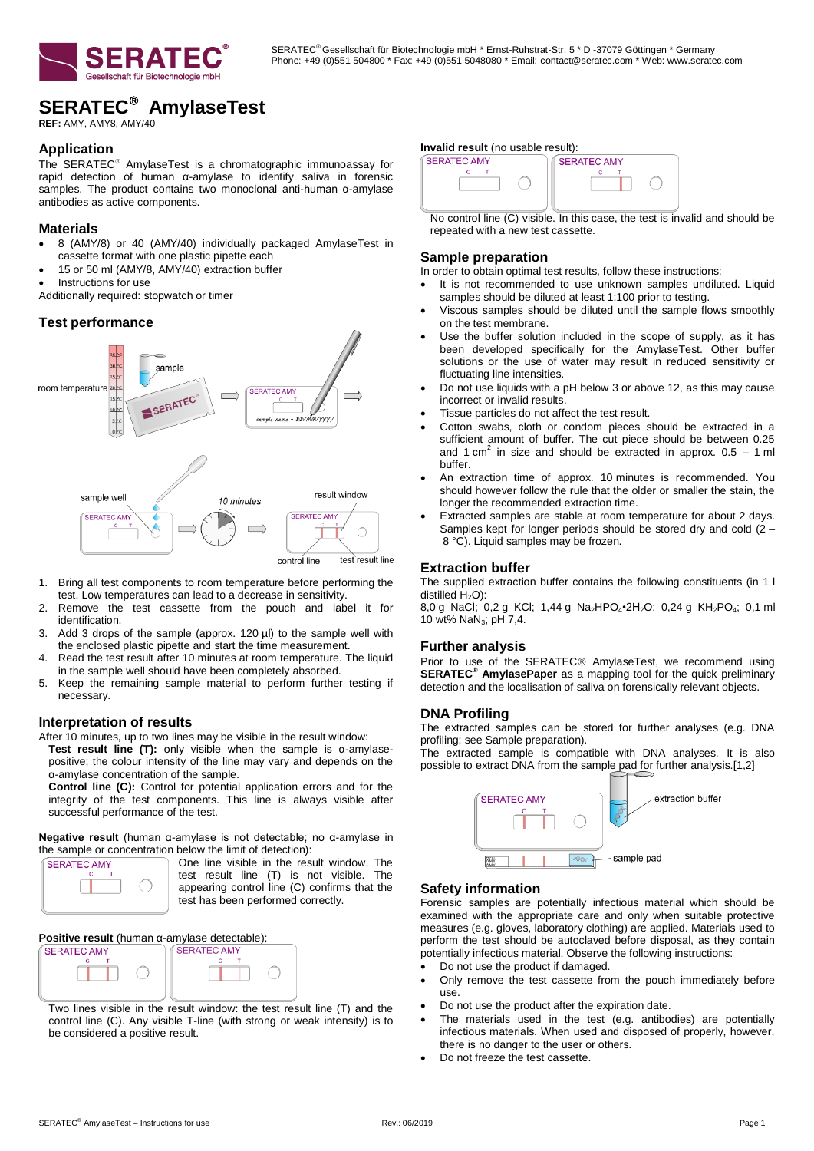

# **SERATEC AmylaseTest**

**REF:** AMY, AMY8, AMY/40

# **Application**

The SERATEC<sup>®</sup> AmylaseTest is a chromatographic immunoassay for rapid detection of human α-amylase to identify saliva in forensic samples. The product contains two monoclonal anti-human α-amylase antibodies as active components.

## **Materials**

- 8 (AMY/8) or 40 (AMY/40) individually packaged AmylaseTest in cassette format with one plastic pipette each
- 15 or 50 ml (AMY/8, AMY/40) extraction buffer
- Instructions for use

Additionally required: stopwatch or timer

# **Test performance**



- 1. Bring all test components to room temperature before performing the test. Low temperatures can lead to a decrease in sensitivity.
- 2. Remove the test cassette from the pouch and label it for identification.
- 3. Add 3 drops of the sample (approx. 120 µl) to the sample well with the enclosed plastic pipette and start the time measurement.
- 4. Read the test result after 10 minutes at room temperature. The liquid in the sample well should have been completely absorbed.
- 5. Keep the remaining sample material to perform further testing if necessary.

#### **Interpretation of results**

After 10 minutes, up to two lines may be visible in the result window: **Test result line (T):** only visible when the sample is α-amylasepositive; the colour intensity of the line may vary and depends on the α-amylase concentration of the sample.

**Control line (C):** Control for potential application errors and for the integrity of the test components. This line is always visible after successful performance of the test.

**Negative result** (human α-amylase is not detectable; no α-amylase in the sample or concentration below the limit of detection):

**SERATEC AMY** 

One line visible in the result window. The test result line (T) is not visible. The appearing control line (C) confirms that the test has been performed correctly.

**Positive result** (human α-amylase detectable):



Two lines visible in the result window: the test result line (T) and the control line (C). Any visible T-line (with strong or weak intensity) is to be considered a positive result.

#### **Invalid result** (no usable result):



No control line (C) visible. In this case, the test is invalid and should be repeated with a new test cassette.

#### **Sample preparation**

In order to obtain optimal test results, follow these instructions:

- It is not recommended to use unknown samples undiluted. Liquid samples should be diluted at least 1:100 prior to testing.
- Viscous samples should be diluted until the sample flows smoothly on the test membrane.
- Use the buffer solution included in the scope of supply, as it has been developed specifically for the AmylaseTest. Other buffer solutions or the use of water may result in reduced sensitivity or fluctuating line intensities.
- Do not use liquids with a pH below 3 or above 12, as this may cause incorrect or invalid results.
- Tissue particles do not affect the test result.
- Cotton swabs, cloth or condom pieces should be extracted in a sufficient amount of buffer. The cut piece should be between 0.25 and 1 cm<sup>2</sup> in size and should be extracted in approx.  $0.5 - 1$  ml buffer.
- An extraction time of approx. 10 minutes is recommended. You should however follow the rule that the older or smaller the stain, the longer the recommended extraction time.
- Extracted samples are stable at room temperature for about 2 days. Samples kept for longer periods should be stored dry and cold  $(2 -$ 8 °C). Liquid samples may be frozen.

# **Extraction buffer**

The supplied extraction buffer contains the following constituents (in 1 l distilled  $H_2O$ ):

8,0 g NaCl; 0,2 g KCl; 1,44 g Na<sub>2</sub>HPO<sub>4</sub>•2H<sub>2</sub>O; 0,24 g KH<sub>2</sub>PO<sub>4</sub>; 0,1 ml 10 wt% NaN3; pH 7,4.

#### **Further analysis**

Prior to use of the SERATEC® AmylaseTest, we recommend using SERATEC<sup>®</sup> AmylasePaper as a mapping tool for the quick preliminary detection and the localisation of saliva on forensically relevant objects.

#### **DNA Profiling**

The extracted samples can be stored for further analyses (e.g. DNA profiling; see Sample preparation).

The extracted sample is compatible with DNA analyses. It is also possible to extract DNA from the sample pad for further analysis.[1,2]



## **Safety information**

Forensic samples are potentially infectious material which should be examined with the appropriate care and only when suitable protective measures (e.g. gloves, laboratory clothing) are applied. Materials used to perform the test should be autoclaved before disposal, as they contain potentially infectious material. Observe the following instructions:

- Do not use the product if damaged.
- Only remove the test cassette from the pouch immediately before use.
- Do not use the product after the expiration date.
- The materials used in the test (e.g. antibodies) are potentially infectious materials. When used and disposed of properly, however, there is no danger to the user or others.
- Do not freeze the test cassette.